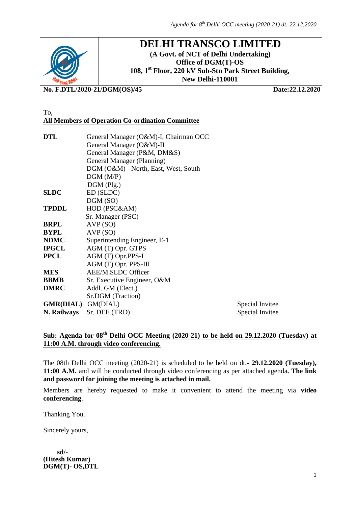

# **DELHI TRANSCO LIMITED**

**(A Govt. of NCT of Delhi Undertaking) Office of DGM(T)-OS 108, 1st Floor, 220 kV Sub-Stn Park Street Building, New Delhi-110001**

**No. F.DTL/2020-21/DGM(OS)/45 Date:22.12.2020**

#### To, **All Members of Operation Co-ordination Committee**

| DTL                       | General Manager (O&M)-I, Chairman OCC |                 |
|---------------------------|---------------------------------------|-----------------|
|                           | General Manager (O&M)-II              |                 |
|                           | General Manager (P&M, DM&S)           |                 |
|                           | General Manager (Planning)            |                 |
|                           | DGM (O&M) - North, East, West, South  |                 |
|                           | DGM(M/P)                              |                 |
|                           | DGM (Plg.)                            |                 |
| SLDC                      | ED (SLDC)                             |                 |
|                           | DGM(SO)                               |                 |
| TPDDL                     | HOD (PSC&AM)                          |                 |
|                           | Sr. Manager (PSC)                     |                 |
| BRPL                      | AVP(SO)                               |                 |
| BYPL                      | AVP(SO)                               |                 |
| NDMC                      | Superintending Engineer, E-1          |                 |
| IPGCL                     | AGM (T) Opr. GTPS                     |                 |
| PPCL                      | AGM (T) Opr.PPS-I                     |                 |
|                           | AGM (T) Opr. PPS-III                  |                 |
| MES                       | AEE/M.SLDC Officer                    |                 |
| BBMB                      | Sr. Executive Engineer, O&M           |                 |
| <b>DMRC</b>               | Addl. GM (Elect.)                     |                 |
|                           | Sr.DGM (Traction)                     |                 |
| <b>GMR(DIAL)</b> GM(DIAL) |                                       | Special Invitee |
| N. Railways               | Sr. DEE (TRD)                         | Special Invitee |
|                           |                                       |                 |

## **Sub: Agenda for 08th Delhi OCC Meeting (2020-21) to be held on 29.12.2020 (Tuesday) at 11:00 A.M. through video conferencing.**

The 08th Delhi OCC meeting (2020-21) is scheduled to be held on dt.- **29.12.2020 (Tuesday), 11:00 A.M.** and will be conducted through video conferencing as per attached agenda**. The link and password for joining the meeting is attached in mail.**

Members are hereby requested to make it convenient to attend the meeting via **video conferencing**.

Thanking You.

Sincerely yours,

 **sd/- (Hitesh Kumar) DGM(T)- OS,DTL**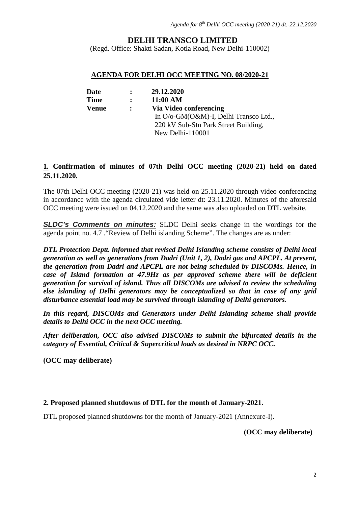## **DELHI TRANSCO LIMITED**

(Regd. Office: Shakti Sadan, Kotla Road, New Delhi-110002)

#### **AGENDA FOR DELHI OCC MEETING NO. 08/2020-21**

| Date        | $\ddot{\cdot}$ | 29.12.2020                            |
|-------------|----------------|---------------------------------------|
| <b>Time</b> | $\ddot{\cdot}$ | 11:00 AM                              |
| Venue       | $\ddot{\cdot}$ | Via Video conferencing                |
|             |                | In O/o-GM(O&M)-I, Delhi Transco Ltd., |
|             |                | 220 kV Sub-Stn Park Street Building,  |
|             |                | New Delhi-110001                      |

## **1. Confirmation of minutes of 07th Delhi OCC meeting (2020-21) held on dated 25.11.2020.**

The 07th Delhi OCC meeting (2020-21) was held on 25.11.2020 through video conferencing in accordance with the agenda circulated vide letter dt: 23.11.2020. Minutes of the aforesaid OCC meeting were issued on 04.12.2020 and the same was also uploaded on DTL website.

*SLDC's Comments on minutes:* SLDC Delhi seeks change in the wordings for the agenda point no. 4.7 ."Review of Delhi islanding Scheme". The changes are as under:

*DTL Protection Deptt. informed that revised Delhi Islanding scheme consists of Delhi local generation as well as generations from Dadri (Unit 1, 2), Dadri gas and APCPL. At present, the generation from Dadri and APCPL are not being scheduled by DISCOMs. Hence, in case of Island formation at 47.9Hz as per approved scheme there will be deficient generation for survival of island. Thus all DISCOMs are advised to review the scheduling else islanding of Delhi generators may be conceptualized so that in case of any grid disturbance essential load may be survived through islanding of Delhi generators.*

*In this regard, DISCOMs and Generators under Delhi Islanding scheme shall provide details to Delhi OCC in the next OCC meeting.*

*After deliberation, OCC also advised DISCOMs to submit the bifurcated details in the category of Essential, Critical & Supercritical loads as desired in NRPC OCC.*

**(OCC may deliberate)**

#### **2. Proposed planned shutdowns of DTL for the month of January-2021.**

DTL proposed planned shutdowns for the month of January-2021 (Annexure-I).

#### **(OCC may deliberate)**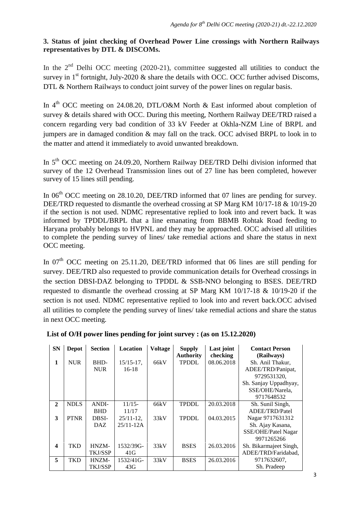## **3. Status of joint checking of Overhead Power Line crossings with Northern Railways representatives by DTL & DISCOMs.**

In the  $2<sup>nd</sup>$  Delhi OCC meeting (2020-21), committee suggested all utilities to conduct the survey in  $1<sup>st</sup>$  fortnight, July-2020 & share the details with OCC. OCC further advised Discoms, DTL & Northern Railways to conduct joint survey of the power lines on regular basis.

In  $4<sup>th</sup> OCC$  meeting on 24.08.20, DTL/O&M North & East informed about completion of survey & details shared with OCC. During this meeting, Northern Railway DEE/TRD raised a concern regarding very bad condition of 33 kV Feeder at Okhla-NZM Line of BRPL and jumpers are in damaged condition & may fall on the track. OCC advised BRPL to look in to the matter and attend it immediately to avoid unwanted breakdown.

In 5<sup>th</sup> OCC meeting on 24.09.20, Northern Railway DEE/TRD Delhi division informed that survey of the 12 Overhead Transmission lines out of 27 line has been completed, however survey of 15 lines still pending.

In  $06<sup>th</sup> OCC$  meeting on 28.10.20, DEE/TRD informed that 07 lines are pending for survey. DEE/TRD requested to dismantle the overhead crossing at SP Marg KM 10/17-18 & 10/19-20 if the section is not used. NDMC representative replied to look into and revert back. It was informed by TPDDL/BRPL that a line emanating from BBMB Rohtak Road feeding to Haryana probably belongs to HVPNL and they may be approached. OCC advised all utilities to complete the pending survey of lines/ take remedial actions and share the status in next OCC meeting.

In  $07<sup>th</sup>$  OCC meeting on 25.11.20, DEE/TRD informed that 06 lines are still pending for survey. DEE/TRD also requested to provide communication details for Overhead crossings in the section DBSI-DAZ belonging to TPDDL & SSB-NNO belonging to BSES. DEE/TRD requested to dismantle the overhead crossing at SP Marg KM 10/17-18 & 10/19-20 if the section is not used. NDMC representative replied to look into and revert back.OCC advised all utilities to complete the pending survey of lines/ take remedial actions and share the status in next OCC meeting.

| <b>SN</b>    | Depot       | <b>Section</b> | Location     | <b>Voltage</b> | <b>Supply</b>    | Last joint | <b>Contact Person</b>  |
|--------------|-------------|----------------|--------------|----------------|------------------|------------|------------------------|
|              |             |                |              |                | <b>Authority</b> | checking   | (Railways)             |
| 1            | <b>NUR</b>  | BHD-           | $15/15-17$ , | 66kV           | <b>TPDDL</b>     | 08.06.2018 | Sh. Anil Thakur,       |
|              |             | <b>NUR</b>     | $16-18$      |                |                  |            | ADEE/TRD/Panipat,      |
|              |             |                |              |                |                  |            | 9729531320,            |
|              |             |                |              |                |                  |            | Sh. Sanjay Uppadhyay,  |
|              |             |                |              |                |                  |            | SSE/OHE/Narela,        |
|              |             |                |              |                |                  |            | 9717648532             |
| $\mathbf{2}$ | <b>NDLS</b> | ANDI-          | $11/15-$     | 66kV           | <b>TPDDL</b>     | 20.03.2018 | Sh. Sunil Singh,       |
|              |             | <b>BHD</b>     | 11/17        |                |                  |            | ADEE/TRD/Patel         |
| 3            | <b>PTNR</b> | DBSI-          | $25/11-12$ , | 33kV           | <b>TPDDL</b>     | 04.03.2015 | Nagar 9717631312       |
|              |             | DAZ.           | $25/11-12A$  |                |                  |            | Sh. Ajay Kasana,       |
|              |             |                |              |                |                  |            | SSE/OHE/Patel Nagar    |
|              |             |                |              |                |                  |            | 9971265266             |
| 4            | TKD         | HNZM-          | 1532/39G-    | 33kV           | <b>BSES</b>      | 26.03.2016 | Sh. Bikarmajeet Singh, |
|              |             | TKJ/SSP        | 41G          |                |                  |            | ADEE/TRD/Faridabad,    |
| 5            | TKD         | HNZM-          | 1532/41G-    | 33kV           | <b>BSES</b>      | 26.03.2016 | 9717632607,            |
|              |             | <b>TKJ/SSP</b> | 43G          |                |                  |            | Sh. Pradeep            |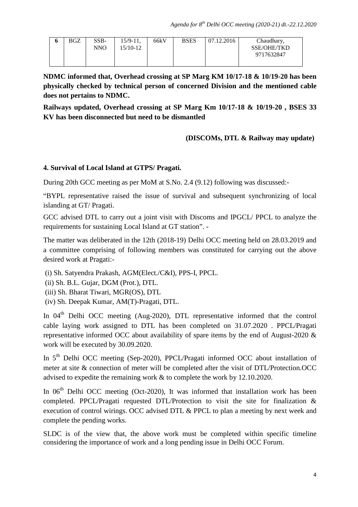|  | o | <b>BGZ</b> | $SSB-$<br>NNO | $15/9 - 11$ ,<br>15/10-12 | 66kV | <b>BSES</b> | 07.12.2016 | Chaudhary,<br>SSE/OHE/TKD<br>9717632847 |  |
|--|---|------------|---------------|---------------------------|------|-------------|------------|-----------------------------------------|--|
|--|---|------------|---------------|---------------------------|------|-------------|------------|-----------------------------------------|--|

**NDMC informed that, Overhead crossing at SP Marg KM 10/17-18 & 10/19-20 has been physically checked by technical person of concerned Division and the mentioned cable does not pertains to NDMC.**

**Railways updated, Overhead crossing at SP Marg Km 10/17-18 & 10/19-20 , BSES 33 KV has been disconnected but need to be dismantled**

## **(DISCOMs, DTL & Railway may update)**

## **4. Survival of Local Island at GTPS/ Pragati.**

During 20th GCC meeting as per MoM at S.No. 2.4 (9.12) following was discussed:-

"BYPL representative raised the issue of survival and subsequent synchronizing of local islanding at GT/ Pragati.

GCC advised DTL to carry out a joint visit with Discoms and IPGCL/ PPCL to analyze the requirements for sustaining Local Island at GT station". -

The matter was deliberated in the 12th (2018-19) Delhi OCC meeting held on 28.03.2019 and a committee comprising of following members was constituted for carrying out the above desired work at Pragati:-

- (i) Sh. Satyendra Prakash, AGM(Elect./C&I), PPS-I, PPCL.
- (ii) Sh. B.L. Gujar, DGM (Prot.), DTL.
- (iii) Sh. Bharat Tiwari, MGR(OS), DTL
- (iv) Sh. Deepak Kumar, AM(T)-Pragati, DTL.

In  $04<sup>th</sup>$  Delhi OCC meeting (Aug-2020), DTL representative informed that the control cable laying work assigned to DTL has been completed on 31.07.2020 . PPCL/Pragati representative informed OCC about availability of spare items by the end of August-2020 & work will be executed by 30.09.2020.

In 5<sup>th</sup> Delhi OCC meeting (Sep-2020), PPCL/Pragati informed OCC about installation of meter at site & connection of meter will be completed after the visit of DTL/Protection.OCC advised to expedite the remaining work & to complete the work by 12.10.2020.

In  $06<sup>th</sup>$  Delhi OCC meeting (Oct-2020), It was informed that installation work has been completed. PPCL/Pragati requested DTL/Protection to visit the site for finalization & execution of control wirings. OCC advised DTL & PPCL to plan a meeting by next week and complete the pending works.

SLDC is of the view that, the above work must be completed within specific timeline considering the importance of work and a long pending issue in Delhi OCC Forum.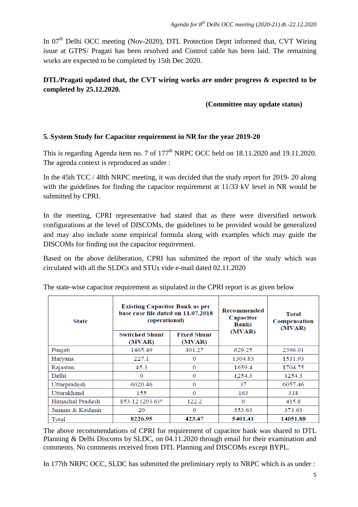In  $07<sup>th</sup>$  Delhi OCC meeting (Nov-2020), DTL Protection Deptt informed that, CVT Wiring issue at GTPS/ Pragati has been resolved and Control cable has been laid. The remaining works are expected to be completed by 15th Dec 2020.

## **DTL/Pragati updated that, the CVT wiring works are under progress & expected to be completed by 25.12.2020.**

## **(Committee may update status)**

## **5. System Study for Capacitor requirement in NR for the year 2019-20**

This is regarding Agenda item no. 7 of  $177<sup>th</sup>$  NRPC OCC held on 18.11.2020 and 19.11.2020. The agenda context is reproduced as under :

In the 45th TCC / 48th NRPC meeting, it was decided that the study report for 2019- 20 along with the guidelines for finding the capacitor requirement at 11/33 kV level in NR would be submitted by CPRI.

In the meeting, CPRI representative had stated that as there were diversified network configurations at the level of DISCOMs, the guidelines to be provided would be generalized and may also include some empirical formula along with examples which may guide the DISCOMs for finding out the capacitor requirement.

Based on the above deliberation, CPRI has submitted the report of the study which was circulated with all the SLDCs and STUs vide e-mail dated 02.11.2020

| <b>State</b>            | <b>Existing Capacitor Bank as per</b><br>base case file dated on 11.07.2018<br>(operational) |                              | Recommended<br>Capacitor<br><b>Banks</b> | Total<br>Compensation<br>(MVAR) |  |
|-------------------------|----------------------------------------------------------------------------------------------|------------------------------|------------------------------------------|---------------------------------|--|
|                         | <b>Switched Shunt</b><br>(MVAR)                                                              | <b>Fixed Shunt</b><br>(MVAR) | (MVAR)                                   |                                 |  |
| Punjab                  | 1465.49                                                                                      | 301.27                       | 629.25                                   | 2396.01                         |  |
| Haryana                 | 227.1                                                                                        | $\bf{0}$                     | 1304.83                                  | 1531.93                         |  |
| Rajastan                | 45.3                                                                                         | $\bf{0}$                     | 1659.4                                   | 1704.75                         |  |
| Delhi                   | 0                                                                                            | $\bf{0}$                     | 1254.3                                   | 1254.3                          |  |
| Uttarpradesh            | 6020.46                                                                                      | $\bf{0}$                     | 37                                       | 6057.46                         |  |
| Uttarakhand             | 155                                                                                          | $\bf{0}$                     | 163                                      | 318                             |  |
| <b>Himachal Pradesh</b> | 853.12 (293.6)*                                                                              | 122.2                        | $\Omega$                                 | 415.8                           |  |
| Jammu & Kashmir         | 20                                                                                           | $\Omega$                     | 353.63                                   | 373.63                          |  |
| Total                   | 8226.95                                                                                      | 423.47                       | 5401.41                                  | 14051.88                        |  |

The state-wise capacitor requirement as stipulated in the CPRI report is as given below

The above recommendations of CPRI for requirement of capacitor bank was shared to DTL Planning & Delhi Discoms by SLDC, on 04.11.2020 through email for their examination and comments. No comments received from DTL Planning and DISCOMs except BYPL.

In 177th NRPC OCC, SLDC has submitted the preliminary reply to NRPC which is as under :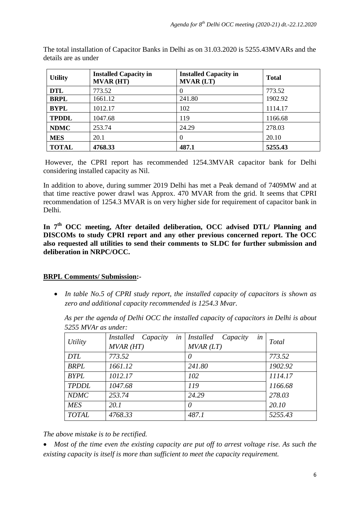| <b>Utility</b> | <b>Installed Capacity in</b><br><b>MVAR (HT)</b> | <b>Installed Capacity in</b><br><b>MVAR (LT)</b> | <b>Total</b> |
|----------------|--------------------------------------------------|--------------------------------------------------|--------------|
| <b>DTL</b>     | 773.52                                           | $\theta$                                         | 773.52       |
| <b>BRPL</b>    | 1661.12                                          | 241.80                                           | 1902.92      |
| <b>BYPL</b>    | 1012.17                                          | 102                                              | 1114.17      |
| <b>TPDDL</b>   | 1047.68                                          | 119                                              | 1166.68      |
| <b>NDMC</b>    | 253.74                                           | 24.29                                            | 278.03       |
| <b>MES</b>     | 20.1                                             | $\Omega$                                         | 20.10        |
| <b>TOTAL</b>   | 4768.33                                          | 487.1                                            | 5255.43      |

The total installation of Capacitor Banks in Delhi as on 31.03.2020 is 5255.43MVARs and the details are as under

However, the CPRI report has recommended 1254.3MVAR capacitor bank for Delhi considering installed capacity as Nil.

In addition to above, during summer 2019 Delhi has met a Peak demand of 7409MW and at that time reactive power drawl was Approx. 470 MVAR from the grid. It seems that CPRI recommendation of 1254.3 MVAR is on very higher side for requirement of capacitor bank in Delhi.

In 7<sup>th</sup> OCC meeting, After detailed deliberation, OCC advised DTL/ Planning and **DISCOMs to study CPRI report and any other previous concerned report. The OCC also requested all utilities to send their comments to SLDC for further submission and deliberation in NRPC/OCC.**

## **BRPL Comments/ Submission :-**

• *In table No.5 of CPRI study report, the installed capacity of capacitors is shown as zero and additional capacity recommended is 1254.3 Mvar.* 

*As per the agenda of Delhi OCC the installed capacity of capacitors in Delhi is about 5255 MVAr as under:*

| Utility      | in<br>Installed Capacity<br>$MVAR$ ( $HT$ ) | <i>Installed</i><br>Capacity<br>in<br>MVAR(LT) | Total   |
|--------------|---------------------------------------------|------------------------------------------------|---------|
| <b>DTL</b>   | 773.52                                      | $\theta$                                       | 773.52  |
| <b>BRPL</b>  | 1661.12                                     | 241.80                                         | 1902.92 |
| <b>BYPL</b>  | 1012.17                                     | 102                                            | 1114.17 |
| <b>TPDDL</b> | 1047.68                                     | 119                                            | 1166.68 |
| <b>NDMC</b>  | 253.74                                      | 24.29                                          | 278.03  |
| <b>MES</b>   | 20.1                                        | 0                                              | 20.10   |
| <b>TOTAL</b> | 4768.33                                     | 487.1                                          | 5255.43 |

*The above mistake is to be rectified.*

• *Most of the time even the existing capacity are put off to arrest voltage rise. As such the existing capacity is itself is more than sufficient to meet the capacity requirement.*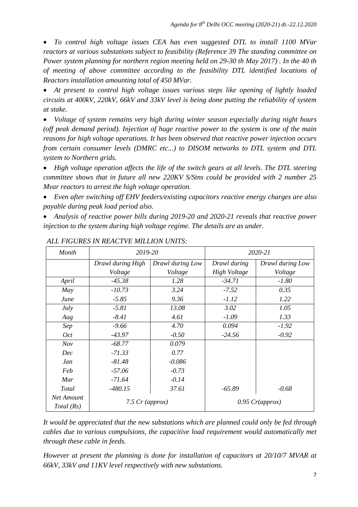• *To control high voltage issues CEA has even suggested DTL to install 1100 MVar reactors at various substations subject to feasibility (Reference 39 The standing committee on Power system planning for northern region meeting held on 29-30 th May 2017) . In the 40 th of meeting of above committee according to the feasibility DTL identified locations of Reactors installation amounting total of 450 MVar.*

• *At present to control high voltage issues various steps like opening of lightly loaded circuits at 400kV, 220kV, 66kV and 33kV level is being done putting the reliability of system at stake.* 

• *Voltage of system remains very high during winter season especially during night hours (off peak demand period). Injection of huge reactive power to the system is one of the main reasons for high voltage operations. It has been observed that reactive power injection occurs from certain consumer levels (DMRC etc...) to DISOM networks to DTL system and DTL system to Northern grids.* 

• *High voltage operation affects the life of the switch gears at all levels. The DTL steering committee shows that in future all new 220KV S/Stns could be provided with 2 number 25 Mvar reactors to arrest the high voltage operation.*

• *Even after switching off EHV feeders/existing capacitors reactive energy charges are also payable during peak load period also.*

• *Analysis of reactive power bills during 2019-20 and 2020-21 reveals that reactive power injection to the system during high voltage regime. The details are as under.*

| Month                    | 2019-20           |                  |              | 2020-21           |
|--------------------------|-------------------|------------------|--------------|-------------------|
|                          | Drawl during High | Drawl during Low | Drawl during | Drawl during Low  |
|                          | Voltage           | Voltage          | High Voltage | Voltage           |
| April                    | $-45.38$          | 1.28             | $-34.71$     | $-1.80$           |
| May                      | $-10.73$          | 3.24             | $-7.52$      | 0.35              |
| June                     | $-5.85$           | 9.36             | $-1.12$      | 1.22              |
| July                     | $-5.81$           | 13.08            | 3.02         | 1.05              |
| Aug                      | $-8.41$           | 4.61             | $-1.09$      | 1.33              |
| Sep                      | $-9.66$           | 4.70             | 0.094        | $-1.92$           |
| Oct                      | -43.97            | $-0.50$          | $-24.56$     | $-0.92$           |
| Nov                      | $-68.77$          | 0.079            |              |                   |
| Dec                      | $-71.33$          | 0.77             |              |                   |
| Jan                      | $-81.48$          | $-0.086$         |              |                   |
| Feb                      | $-57.06$          | $-0.73$          |              |                   |
| Mar                      | $-71.64$          | $-0.14$          |              |                   |
| Total                    | $-480.15$         | 37.61            | $-65.89$     | $-0.68$           |
| Net Amount<br>Total (Rs) | 7.5 $Cr$ (approx) |                  |              | $0.95$ Cr(approx) |

#### *ALL FIGURES IN REACTVE MILLION UNITS:*

*It would be appreciated that the new substations which are planned could only be fed through cables due to various compulsions, the capacitive load requirement would automatically met through these cable in feeds.*

*However at present the planning is done for installation of capacitors at 20/10/7 MVAR at 66kV, 33kV and 11KV level respectively with new substations.*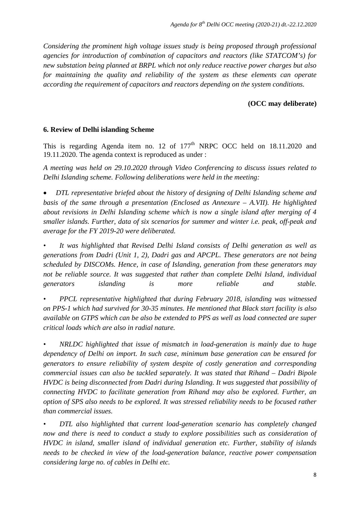*Considering the prominent high voltage issues study is being proposed through professional agencies for introduction of combination of capacitors and reactors (like STATCOM's) for new substation being planned at BRPL which not only reduce reactive power charges but also for maintaining the quality and reliability of the system as these elements can operate according the requirement of capacitors and reactors depending on the system conditions.*

## **(OCC may deliberate)**

#### **6. Review of Delhi islanding Scheme**

This is regarding Agenda item no. 12 of  $177<sup>th</sup>$  NRPC OCC held on 18.11.2020 and 19.11.2020. The agenda context is reproduced as under :

*A meeting was held on 29.10.2020 through Video Conferencing to discuss issues related to Delhi Islanding scheme. Following deliberations were held in the meeting:* 

• *DTL representative briefed about the history of designing of Delhi Islanding scheme and basis of the same through a presentation (Enclosed as Annexure – A.VII). He highlighted about revisions in Delhi Islanding scheme which is now a single island after merging of 4 smaller islands. Further, data of six scenarios for summer and winter i.e. peak, off-peak and average for the FY 2019-20 were deliberated.* 

*• It was highlighted that Revised Delhi Island consists of Delhi generation as well as generations from Dadri (Unit 1, 2), Dadri gas and APCPL. These generators are not being scheduled by DISCOMs. Hence, in case of Islanding, generation from these generators may not be reliable source. It was suggested that rather than complete Delhi Island, individual generators islanding is more reliable and stable.* 

*• PPCL representative highlighted that during February 2018, islanding was witnessed on PPS-1 which had survived for 30-35 minutes. He mentioned that Black start facility is also available on GTPS which can be also be extended to PPS as well as load connected are super critical loads which are also in radial nature.* 

*• NRLDC highlighted that issue of mismatch in load-generation is mainly due to huge dependency of Delhi on import. In such case, minimum base generation can be ensured for generators to ensure reliability of system despite of costly generation and corresponding commercial issues can also be tackled separately. It was stated that Rihand – Dadri Bipole HVDC is being disconnected from Dadri during Islanding. It was suggested that possibility of connecting HVDC to facilitate generation from Rihand may also be explored. Further, an option of SPS also needs to be explored. It was stressed reliability needs to be focused rather than commercial issues.* 

*• DTL also highlighted that current load-generation scenario has completely changed now and there is need to conduct a study to explore possibilities such as consideration of HVDC in island, smaller island of individual generation etc. Further, stability of islands needs to be checked in view of the load-generation balance, reactive power compensation considering large no. of cables in Delhi etc.*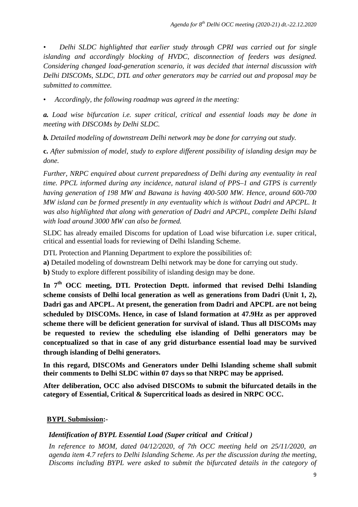*• Delhi SLDC highlighted that earlier study through CPRI was carried out for single islanding and accordingly blocking of HVDC, disconnection of feeders was designed. Considering changed load-generation scenario, it was decided that internal discussion with Delhi DISCOMs, SLDC, DTL and other generators may be carried out and proposal may be submitted to committee.* 

• *Accordingly, the following roadmap was agreed in the meeting:* 

*a. Load wise bifurcation i.e. super critical, critical and essential loads may be done in meeting with DISCOMs by Delhi SLDC.* 

*b. Detailed modeling of downstream Delhi network may be done for carrying out study.* 

**c.** *After submission of model, study to explore different possibility of islanding design may be done.* 

*Further, NRPC enquired about current preparedness of Delhi during any eventuality in real time. PPCL informed during any incidence, natural island of PPS–1 and GTPS is currently having generation of 198 MW and Bawana is having 400-500 MW. Hence, around 600-700 MW island can be formed presently in any eventuality which is without Dadri and APCPL. It was also highlighted that along with generation of Dadri and APCPL, complete Delhi Island with load around 3000 MW can also be formed.*

SLDC has already emailed Discoms for updation of Load wise bifurcation i.e. super critical, critical and essential loads for reviewing of Delhi Islanding Scheme.

DTL Protection and Planning Department to explore the possibilities of:

**a)** Detailed modeling of downstream Delhi network may be done for carrying out study.

**b)** Study to explore different possibility of islanding design may be done.

**In 7th OCC meeting, DTL Protection Deptt. informed that revised Delhi Islanding scheme consists of Delhi local generation as well as generations from Dadri (Unit 1, 2), Dadri gas and APCPL. At present, the generation from Dadri and APCPL are not being scheduled by DISCOMs. Hence, in case of Island formation at 47.9Hz as per approved scheme there will be deficient generation for survival of island. Thus all DISCOMs may be requested to review the scheduling else islanding of Delhi generators may be conceptualized so that in case of any grid disturbance essential load may be survived through islanding of Delhi generators.**

**In this regard, DISCOMs and Generators under Delhi Islanding scheme shall submit their comments to Delhi SLDC within 07 days so that NRPC may be apprised.**

**After deliberation, OCC also advised DISCOMs to submit the bifurcated details in the category of Essential, Critical & Supercritical loads as desired in NRPC OCC.**

## **BYPL Submission :-**

#### *Identification of BYPL Essential Load (Super critical and Critical )*

*In reference to MOM, dated 04/12/2020, of 7th OCC meeting held on 25/11/2020, an agenda item 4.7 refers to Delhi Islanding Scheme. As per the discussion during the meeting, Discoms including BYPL were asked to submit the bifurcated details in the category of*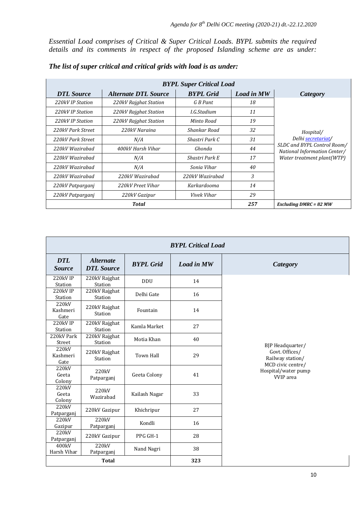*Essential Load comprises of Critical & Super Critical Loads. BYPL submits the required details and its comments in respect of the proposed Islanding scheme are as under:*

| <b>BYPL Super Critical Load</b> |                             |                  |                          |                                                             |  |  |
|---------------------------------|-----------------------------|------------------|--------------------------|-------------------------------------------------------------|--|--|
| <b>DTL</b> Source               | <b>Alternate DTL Source</b> | <b>BYPL</b> Grid | <b>Load in MW</b>        | <b>Category</b>                                             |  |  |
| 220kV IP Station                | 220kV Rajghat Station       | G B Pant         | 18                       |                                                             |  |  |
| 220kV IP Station                | 220kV Rajghat Station       | I.G.Stadium      | 11                       |                                                             |  |  |
| 220kV IP Station                | 220kV Rajghat Station       | Minto Road       | 19                       |                                                             |  |  |
| 220kV Park Street               | 220kV Naraina               | Shankar Road     | 32                       | Hospital/                                                   |  |  |
| 220kV Park Street               | N/A                         | Shastri Park C   | 31                       | Delhi secretariat/                                          |  |  |
| 220kV Wazirabad                 | 400kV Harsh Vihar           | Ghonda           | 44                       | SLDC and BYPL Control Room/<br>National Information Center/ |  |  |
| 220kV Wazirabad                 | N/A                         | Shastri Park E   | 17                       | Water treatment plant(WTP)                                  |  |  |
| 220kV Wazirabad                 | N/A                         | Sonia Vihar      | 40                       |                                                             |  |  |
| 220kV Wazirabad                 | 220kV Wazirabad             | 220kV Wazirabad  | 3                        |                                                             |  |  |
| 220kV Patparganj                | 220kV Preet Vihar           | Karkardooma      | 14                       |                                                             |  |  |
| 220kV Patparganj                | 220kV Gazipur               | Vivek Vihar      | 29                       |                                                             |  |  |
|                                 | <b>Total</b>                | 257              | Excluding $DMRC = 82 MW$ |                                                             |  |  |

| <b>BYPL Critical Load</b>   |                                       |                  |                   |                                                                             |  |  |
|-----------------------------|---------------------------------------|------------------|-------------------|-----------------------------------------------------------------------------|--|--|
| <b>DTL</b><br><b>Source</b> | <b>Alternate</b><br><b>DTL</b> Source | <b>BYPL</b> Grid | <b>Load in MW</b> | <b>Category</b>                                                             |  |  |
| 220kV IP<br>Station         | 220kV Rajghat<br>Station              | <b>DDU</b>       | 14                |                                                                             |  |  |
| 220kV IP<br>Station         | 220kV Rajghat<br>Station              | Delhi Gate       | 16                |                                                                             |  |  |
| 220kV<br>Kashmeri<br>Gate   | 220kV Rajghat<br>Station              | Fountain         | 14                |                                                                             |  |  |
| 220kV IP<br>Station         | 220kV Rajghat<br>Station              | Kamla Market     | 27                |                                                                             |  |  |
| 220kV Park<br>Street        | 220kV Rajghat<br>Station              | Motia Khan       | 40                |                                                                             |  |  |
| 220kV<br>Kashmeri<br>Gate   | 220kV Rajghat<br>Station              | <b>Town Hall</b> | 29                | BJP Headquarter/<br>Govt. Offices/<br>Railway station/<br>MCD civic centre/ |  |  |
| 220kV<br>Geeta<br>Colony    | 220kV<br>Patparganj                   | Geeta Colony     | 41                | Hospital/water pump<br><b>VVIP</b> area                                     |  |  |
| 220kV<br>Geeta<br>Colony    | 220kV<br>Wazirabad                    | Kailash Nagar    | 33                |                                                                             |  |  |
| 220kV<br>Patparganj         | 220kV Gazipur                         | Khichripur       | 27                |                                                                             |  |  |
| 220kV<br>Gazipur            | 220kV<br>Patparganj                   | Kondli           | 16                |                                                                             |  |  |
| 220kV<br>Patparganj         | 220kV Gazipur                         | PPG GH-1         | 28                |                                                                             |  |  |
| 400kV<br>Harsh Vihar        | 220 <sub>kV</sub><br>Patparganj       | Nand Nagri       | 38                |                                                                             |  |  |
| <b>Total</b>                |                                       |                  | 323               |                                                                             |  |  |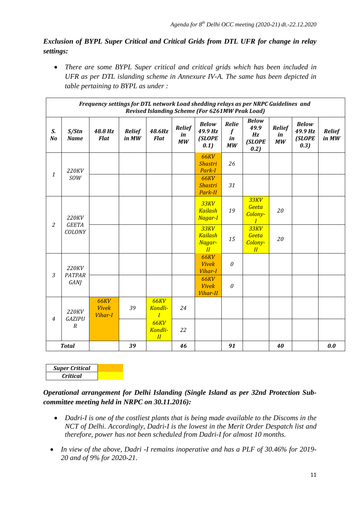## *Exclusion of BYPL Super Critical and Critical Grids from DTL UFR for change in relay settings:*

• *There are some BYPL Super critical and critical grids which has been included in UFR as per DTL islanding scheme in Annexure IV-A. The same has been depicted in table pertaining to BYPL as under :* 

|                | Frequency settings for DTL network Load shedding relays as per NRPC Guidelines and<br><b>Revised Islanding Scheme (For 6261MW Peak Load)</b> |                                               |                        |                                                 |                           |                                                |                                       |                                              |                           |                                           |                        |
|----------------|----------------------------------------------------------------------------------------------------------------------------------------------|-----------------------------------------------|------------------------|-------------------------------------------------|---------------------------|------------------------------------------------|---------------------------------------|----------------------------------------------|---------------------------|-------------------------------------------|------------------------|
| S.<br>No       | S/Stn<br><b>Name</b>                                                                                                                         | 48.8 Hz<br><b>Flat</b>                        | <b>Relief</b><br>in MW | 48.6Hz<br><b>Flat</b>                           | <b>Relief</b><br>in<br>MW | <b>Below</b><br>49.9 Hz<br>(SLOPE<br>0.1)      | Relie<br>$\boldsymbol{f}$<br>in<br>MW | <b>Below</b><br>49.9<br>Hz<br>(SLOPE<br>0.2) | <b>Relief</b><br>in<br>MW | <b>Below</b><br>49.9 Hz<br>(SLOPE<br>0.3) | <b>Relief</b><br>in MW |
| $\mathbf{1}$   | 220KV                                                                                                                                        |                                               |                        |                                                 |                           | <b>66KV</b><br><b>Shastri</b><br>Park-I        | 26                                    |                                              |                           |                                           |                        |
|                | <b>SOW</b>                                                                                                                                   |                                               |                        |                                                 |                           | <b>66KV</b><br><b>Shastri</b><br>Park-II       | 31                                    |                                              |                           |                                           |                        |
| $\overline{2}$ | 220KV<br><b>GEETA</b>                                                                                                                        |                                               |                        |                                                 |                           | 33KV<br><b>Kailash</b><br>Nagar-I              | 19                                    | 33KV<br>Geeta<br>Colony-<br>I                | 20                        |                                           |                        |
|                | COLONY                                                                                                                                       |                                               |                        |                                                 |                           | <b>33KV</b><br><b>Kailash</b><br>Nagar-<br>II  | 15                                    | 33KV<br>Geeta<br>Colony-<br>II               | 20                        |                                           |                        |
| 3              | 220KV<br><b>PATPAR</b>                                                                                                                       |                                               |                        |                                                 |                           | <b>66KV</b><br><b>Vivek</b><br><b>Vihar-I</b>  | $\boldsymbol{\theta}$                 |                                              |                           |                                           |                        |
|                | <b>GANJ</b>                                                                                                                                  |                                               |                        |                                                 |                           | <b>66KV</b><br><b>Vivek</b><br><b>Vihar-II</b> | $\theta$                              |                                              |                           |                                           |                        |
| $\overline{4}$ | 220KV<br>GAZIPU                                                                                                                              | <b>66KV</b><br><b>Vivek</b><br><b>Vihar-I</b> | 39                     | <b>66KV</b><br><b>Kondli-</b><br>$\overline{I}$ | 24                        |                                                |                                       |                                              |                           |                                           |                        |
|                | $\overline{R}$                                                                                                                               |                                               |                        | <b>66KV</b><br>Kondli-<br>II                    | 22                        |                                                |                                       |                                              |                           |                                           |                        |
|                | <b>Total</b>                                                                                                                                 |                                               | 39                     |                                                 | 46                        |                                                | 91                                    |                                              | 40                        |                                           | 0.0                    |

| <b>Super Critical</b> |  |
|-----------------------|--|
| Critical              |  |

*Operational arrangement for Delhi Islanding (Single Island as per 32nd Protection Subcommittee meeting held in NRPC on 30.11.2016):*

- *Dadri-I is one of the costliest plants that is being made available to the Discoms in the NCT of Delhi. Accordingly, Dadri-I is the lowest in the Merit Order Despatch list and therefore, power has not been scheduled from Dadri-I for almost 10 months.*
- *In view of the above, Dadri -I remains inoperative and has a PLF of 30.46% for 2019- 20 and of 9% for 2020-21.*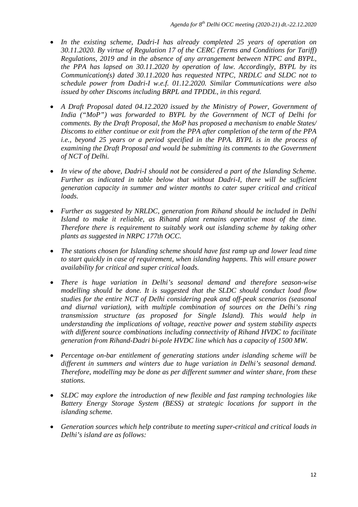- *In the existing scheme, Dadri-I has already completed 25 years of operation on 30.11.2020. By virtue of Regulation 17 of the CERC (Terms and Conditions for Tariff) Regulations, 2019 and in the absence of any arrangement between NTPC and BYPL, the PPA has lapsed on 30.11.2020 by operation of law. Accordingly, BYPL by its Communication(s) dated 30.11.2020 has requested NTPC, NRDLC and SLDC not to schedule power from Dadri-I w.e.f. 01.12.2020. Similar Communications were also issued by other Discoms including BRPL and TPDDL, in this regard.*
- *A Draft Proposal dated 04.12.2020 issued by the Ministry of Power, Government of India ("MoP") was forwarded to BYPL by the Government of NCT of Delhi for comments. By the Draft Proposal, the MoP has proposed a mechanism to enable States/ Discoms to either continue or exit from the PPA after completion of the term of the PPA i.e., beyond 25 years or a period specified in the PPA. BYPL is in the process of examining the Draft Proposal and would be submitting its comments to the Government of NCT of Delhi.*
- *In view of the above, Dadri-I should not be considered a part of the Islanding Scheme.*  Further as indicated in table below that without Dadri-I, there will be sufficient *generation capacity in summer and winter months to cater super critical and critical loads.*
- *Further as suggested by NRLDC, generation from Rihand should be included in Delhi Island to make it reliable, as Rihand plant remains operative most of the time. Therefore there is requirement to suitably work out islanding scheme by taking other plants as suggested in NRPC 177th OCC.*
- *The stations chosen for Islanding scheme should have fast ramp up and lower lead time to start quickly in case of requirement, when islanding happens. This will ensure power availability for critical and super critical loads.*
- *There is huge variation in Delhi's seasonal demand and therefore season-wise modelling should be done. It is suggested that the SLDC should conduct load flow studies for the entire NCT of Delhi considering peak and off-peak scenarios (seasonal and diurnal variation), with multiple combination of sources on the Delhi's ring transmission structure (as proposed for Single Island). This would help in understanding the implications of voltage, reactive power and system stability aspects with different source combinations including connectivity of Rihand HVDC to facilitate generation from Rihand-Dadri bi-pole HVDC line which has a capacity of 1500 MW.*
- *Percentage on-bar entitlement of generating stations under islanding scheme will be different in summers and winters due to huge variation in Delhi's seasonal demand. Therefore, modelling may be done as per different summer and winter share, from these stations.*
- *SLDC may explore the introduction of new flexible and fast ramping technologies like Battery Energy Storage System (BESS) at strategic locations for support in the islanding scheme.*
- *Generation sources which help contribute to meeting super-critical and critical loads in Delhi's island are as follows:*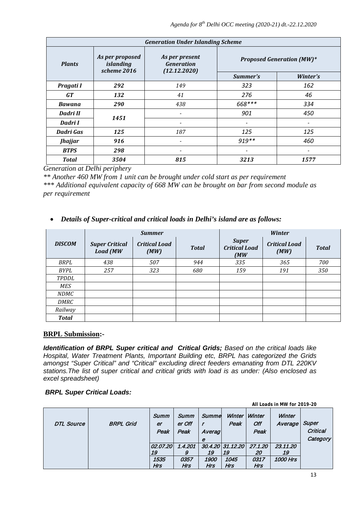| <b>Generation Under Islanding Scheme</b> |                                                    |                                                     |                                  |                          |  |  |  |  |
|------------------------------------------|----------------------------------------------------|-----------------------------------------------------|----------------------------------|--------------------------|--|--|--|--|
| <b>Plants</b>                            | As per proposed<br><i>islanding</i><br>scheme 2016 | As per present<br><b>Generation</b><br>(12.12.2020) | <b>Proposed Generation (MW)*</b> |                          |  |  |  |  |
|                                          |                                                    |                                                     | Summer's                         | Winter's                 |  |  |  |  |
| Pragati I                                | 292                                                | 149                                                 | 323                              | 162                      |  |  |  |  |
| <b>GT</b>                                | 132                                                | 41                                                  | 276                              | 46                       |  |  |  |  |
| <b>Bawana</b>                            | 290                                                | 438                                                 | 668***                           | 334                      |  |  |  |  |
| Dadri II                                 | 1451                                               | $\overline{\phantom{a}}$                            | 901                              | 450                      |  |  |  |  |
| Dadri I                                  |                                                    | $\overline{\phantom{a}}$                            | $\overline{\phantom{a}}$         | $\overline{\phantom{0}}$ |  |  |  |  |
| Dadri Gas                                | 125                                                | 187                                                 | 125                              | 125                      |  |  |  |  |
| <b>Jhajjar</b>                           | 916                                                | $\overline{\phantom{a}}$                            | $919**$                          | 460                      |  |  |  |  |
| <b>BTPS</b>                              | 298                                                | $\overline{\phantom{a}}$                            | $\overline{\phantom{a}}$         | $\overline{\phantom{0}}$ |  |  |  |  |
| <b>Total</b>                             | 3504                                               | 815                                                 | 3213                             | 1577                     |  |  |  |  |

*Generation at Delhi periphery*

*\*\* Another 460 MW from 1 unit can be brought under cold start as per requirement \*\*\* Additional equivalent capacity of 668 MW can be brought on bar from second module as per requirement*

#### • *Details of Super-critical and critical loads in Delhi's island are as follows:*

|               |                                          | <b>Summer</b>                |              |                                                                              | <b>Winter</b> |              |
|---------------|------------------------------------------|------------------------------|--------------|------------------------------------------------------------------------------|---------------|--------------|
| <b>DISCOM</b> | <b>Super Critical</b><br><b>Load</b> (MW | <b>Critical Load</b><br>(MW) | <b>Total</b> | <b>Super</b><br><b>Critical Load</b><br><b>Critical Load</b><br>(MW)<br>(MW) |               | <b>Total</b> |
| BRPL          | 438                                      | 507                          | 944          | 335                                                                          | 365           | 700          |
| BYPL          | 257                                      | 323                          | 680          | 159                                                                          | 191           | 350          |
| <b>TPDDL</b>  |                                          |                              |              |                                                                              |               |              |
| MES           |                                          |                              |              |                                                                              |               |              |
| <b>NDMC</b>   |                                          |                              |              |                                                                              |               |              |
| DMRC          |                                          |                              |              |                                                                              |               |              |
| Railway       |                                          |                              |              |                                                                              |               |              |
| <b>Total</b>  |                                          |                              |              |                                                                              |               |              |

#### **BRPL Submission:-**

*Identification of BRPL Super critical and Critical Grids; Based on the critical loads like Hospital, Water Treatment Plants, Important Building etc, BRPL has categorized the Grids amongst "Super Critical" and "Critical" excluding direct feeders emanating from DTL 220KV stations.The list of super critical and critical grids with load is as under: (Also enclosed as excel spreadsheet)*

#### *BRPL Super Critical Loads:*

|                   |                  |                                      |                               |                          |                                                      |                       | All Loads in MW for 2019-20 |                                      |
|-------------------|------------------|--------------------------------------|-------------------------------|--------------------------|------------------------------------------------------|-----------------------|-----------------------------|--------------------------------------|
| <b>DTL Source</b> | <b>BRPL Grid</b> | Summ<br>er<br>Peak                   | Summ<br>er Off<br>Peak        | Summe<br>Averag<br>е     | Winter<br>Peak                                       | Winter<br>Off<br>Peak | Winter<br>Average           | Super<br><b>Critical</b><br>Category |
|                   |                  | 02.07.20<br>19<br>1535<br><b>Hrs</b> | 1.4.201<br>0357<br><b>Hrs</b> | 19<br>1900<br><b>Hrs</b> | 30.4.20 31.12.20 27.1.20<br>19<br>1045<br><b>Hrs</b> | 20<br>0317<br>Hrs     | 23.11.20<br>19<br>1000 Hrs  |                                      |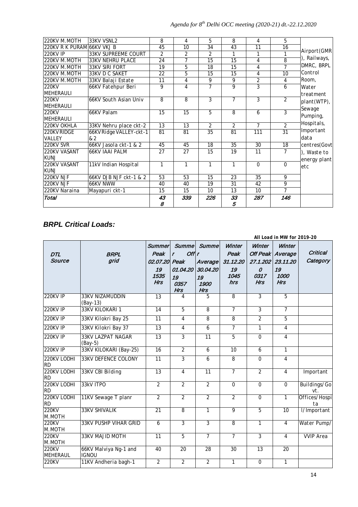| 220KV M.MOTH               | 33KV VSNL2                 | 8            | 4              | 5              | 8              | 4              | 5              |              |
|----------------------------|----------------------------|--------------|----------------|----------------|----------------|----------------|----------------|--------------|
| 220KV R K PURAML66KV VKJ B |                            | 45           | 10             | 34             | 43             | 11             | 16             |              |
| 220KV IP                   | <b>33KV SUPREEME COURT</b> | 2            | $\overline{2}$ | $\overline{2}$ | 1              | 1              | 1              | Airport (GMR |
| 220KV M.MOTH               | <b>33KV NEHRU PLACE</b>    | 24           | 7              | 15             | 15             | 4              | 8              | ), Railways, |
| 220KV M.MOTH               | <b>33KV SIRI FORT</b>      | 19           | 5              | 18             | 15             | 4              | $\overline{7}$ | DMRC, BRPL   |
| 220KV M.MOTH               | 33KV D C SAKET             | 22           | 5              | 15             | 15             | 4              | 10             | Control      |
| 220KV M.MOTH               | 33KV Balaji Estate         | 11           | 4              | 9              | 9              | 2              | 4              | Room,        |
| 220KV                      | 66KV Fatehpur Beri         | 9            | 4              | 7              | 9              | 3              | 6              | Water        |
| <b>MEHERAULI</b>           |                            |              |                |                |                |                |                | treatment    |
| 220KV                      | 66KV South Asian Univ      | 8            | 8              | $\mathcal{E}$  | 7              | 3              | $\mathfrak{D}$ | plant(WTP),  |
| <b>MEHERAULI</b>           |                            |              |                |                |                |                |                | Sewage       |
| 220KV                      | 66KV Palam                 | 15           | 15             | 5              | 8              | 6              | 3              | Pumping,     |
| <b>MEHERAULI</b>           |                            |              |                |                |                |                |                |              |
| 220KV OKHLA                | 33KV Nehru place ckt-2     | 13           | 13             | $\overline{2}$ | $\overline{2}$ | $\overline{7}$ | $\mathfrak{p}$ | Hospitals,   |
| 220KV RIDGE                | 66KV Ridge VALLEY-ckt-1    | 81           | 81             | 35             | 81             | 111            | 31             | Important    |
| VALLEY                     | & 2                        |              |                |                |                |                |                | data         |
| 220KV SVR                  | 66KV Jasola ckt-1 & 2      | 45           | 45             | 18             | 35             | 30             | 18             | centres(Govt |
| 220KV VASANT               | <b>66KV JAAI PALM</b>      | 27           | 27             | 15             | 19             | 11             | $\overline{7}$ | ), Waste to  |
| <b>KUNJ</b>                |                            |              |                |                |                |                |                | energy plant |
| 220KV VASANT               | 11kV Indian Hospital       | $\mathbf{1}$ | $\mathbf{1}$   | 1              | 1              | $\Omega$       | $\Omega$       | etc          |
| <b>KUNJ</b>                |                            |              |                |                |                |                |                |              |
| 220KV NJF                  | 66KV DJB NJF ckt-1 & 2     | 53           | 53             | 15             | 23             | 35             | 9              |              |
| 220KV NJF                  | 66KV NWW                   | 40           | 40             | 19             | 31             | 42             | 9              |              |
| 220KV Naraina              | Mayapuri ckt-1             | 15           | 15             | 10             | 13             | 10             | $\overline{7}$ |              |
| Total                      |                            | 43           | 339            | 226            | 33             | 287            | 146            |              |
|                            |                            | 8            |                |                | 5              |                |                |              |

# *BRPL Critical Loads:*

|                          |                                       |                       |                          |                   |                 |                           | All Load in MW for 2019-20 |                     |
|--------------------------|---------------------------------------|-----------------------|--------------------------|-------------------|-----------------|---------------------------|----------------------------|---------------------|
| <b>DTL</b>               | <b>BRPL</b>                           | <b>Summer</b><br>Peak | Off<br>r                 | Summe Summe       | Winter<br>Peak  | Winter<br><b>Off Peak</b> | Winter<br>Average          | Critical            |
| Source                   | grid                                  | 02.07.20              | Peak                     | Average           | 31.12.20        |                           | 27.1.202 23.11.20          | Category            |
|                          |                                       | 19                    | 01.04.20                 | 30.04.20          | 19              | $\Omega$                  | 19                         |                     |
|                          |                                       | 1535<br>Hrs           | 19<br>0357<br><b>Hrs</b> | 19<br>1900<br>Hrs | 1045<br>hrs     | 0317<br><b>Hrs</b>        | 1000<br><b>Hrs</b>         |                     |
| 220KV IP                 | 33KV NIZAMUDDIN<br>$(Bay-13)$         | 13                    | 4                        | 5                 | 8               | 3                         | 5                          |                     |
| <b>220KV IP</b>          | 33KV KILOKARI 1                       | 14                    | $\overline{5}$           | $\overline{8}$    | $\overline{7}$  | $\overline{3}$            | $\overline{7}$             |                     |
| 220KV IP                 | 33KV Kilokri Bay 25                   | 11                    | $\overline{4}$           | 8                 | 8               | $\overline{2}$            | 5                          |                     |
| <b>220KV IP</b>          | 33KV Kilokri Bay 37                   | 13                    | $\overline{4}$           | 6                 | $\overline{7}$  | $\overline{1}$            | $\overline{4}$             |                     |
| <b>220KV IP</b>          | <b>33KV LAZPAT NAGAR</b><br>$(Bay-5)$ | $\overline{13}$       | 3                        | $\overline{11}$   | 5               | $\overline{0}$            | $\overline{4}$             |                     |
| $220$ KV IP              | 33KV KILOKARI (Bay-25)                | 16                    | $\overline{2}$           | 6                 | $\overline{10}$ | 6                         | $\mathbf{1}$               |                     |
| 220KV LODHI<br><b>RD</b> | <b>33KV DEFENCE COLONY</b>            | 11                    | $\overline{\mathbf{3}}$  | 6                 | $\overline{s}$  | 0                         | $\overline{4}$             |                     |
| 220KV LODHI<br><b>RD</b> | 33KV CBI Bilding                      | 13                    | $\overline{4}$           | $\overline{11}$   | $\overline{7}$  | $\overline{2}$            | $\overline{4}$             | Important           |
| 220KV LODHI<br><b>RD</b> | 33kV ITPO                             | $\overline{2}$        | $\overline{2}$           | $\overline{2}$    | $\mathcal{O}$   | 0                         | 0                          | Buildings/Go<br>vt. |
| 220KV LODHI<br><b>RD</b> | 11KV Sewage T planr                   | $\overline{2}$        | $\overline{2}$           | $\overline{2}$    | $\overline{2}$  | $\overline{0}$            | $\mathbf{1}$               | Offices/Hospi<br>ta |
| 220KV<br>M.MOTH          | <b>33KV SHIVALIK</b>                  | 21                    | $\overline{s}$           | $\overline{1}$    | $\overline{g}$  | $\overline{5}$            | $\overline{10}$            | I/Important         |
| 220KV<br>M.MOTH          | <b>33KV PUSHP VIHAR GRID</b>          | $\overline{6}$        | $\overline{3}$           | $\overline{3}$    | 8               | $\mathbf{1}$              | $\overline{4}$             | Water Pump/         |
| 220KV<br>M.MOTH          | 33KV MAJID MOTH                       | $\overline{11}$       | $\overline{5}$           | $\overline{7}$    | $\overline{7}$  | $\overline{3}$            | $\overline{4}$             | <b>VVIP Area</b>    |
| 220KV<br>MEHERAUL        | 66KV Malviya Ng-1 and<br><b>IGNOU</b> | 40                    | 20                       | 28                | 30              | 13                        | 20                         |                     |
| 220KV                    | 11KV Andheria bagh-1                  | $\overline{2}$        | $\overline{2}$           | $\overline{2}$    | $\mathbf{1}$    | 0                         | $\mathcal{I}$              |                     |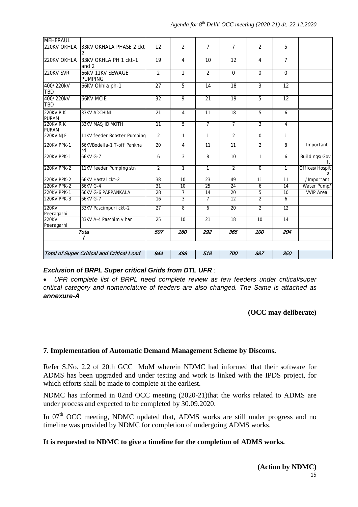| <b>MEHERAUL</b>                  |                                                  |                         |                |                 |                 |                     |                 |                      |
|----------------------------------|--------------------------------------------------|-------------------------|----------------|-----------------|-----------------|---------------------|-----------------|----------------------|
| 220KV OKHLA                      | 33KV OKHALA PHASE 2 ckt                          | 12                      | $\overline{2}$ | $\overline{7}$  | $\overline{7}$  | $\overline{2}$      | 5               |                      |
| 220KV OKHLA                      | 33KV OKHLA PH 1 ckt-1<br>and $2$                 | 19                      | $\overline{4}$ | 10              | 12              | $\overline{4}$      | $\overline{7}$  |                      |
| 220KV SVR                        | <b>66KV 11KV SEWAGE</b><br><b>PUMPING</b>        | $\overline{\mathbf{2}}$ | $\mathcal{I}$  | $\overline{2}$  | $\overline{0}$  | $\overline{\theta}$ | $\theta$        |                      |
| 400/220kV<br><b>TBD</b>          | 66KV Okhla ph-1                                  | 27                      | 5              | $\overline{14}$ | $\overline{18}$ | $\overline{3}$      | $\overline{12}$ |                      |
| 400/220kV<br><b>TBD</b>          | <b>66KV MCIE</b>                                 | $\overline{32}$         | 9              | $\overline{21}$ | 19              | $\overline{5}$      | $\overline{12}$ |                      |
| <b>220KV R K</b><br><b>PURAM</b> | 33KV ADCHINI                                     | $\overline{21}$         | $\overline{4}$ | $\overline{11}$ | $\overline{18}$ | 5                   | 6               |                      |
| $220$ KVRK<br><b>PURAM</b>       | 33KV MASJID MOTH                                 | 11                      | 5              | $\overline{7}$  | $\overline{7}$  | 3                   | $\overline{4}$  |                      |
| 220KV NJF                        | 11KV feeder Booster Pumping                      | $\overline{2}$          | $\mathbf{1}$   | $\mathbf{1}$    | $\overline{2}$  | $\theta$            | $\mathbf{1}$    |                      |
| 220KV PPK-1                      | 66KVBodeIIa-1 T-off Pankha<br>rd                 | $\overline{20}$         | $\overline{4}$ | 11              | 11              | 2                   | 8               | Important            |
| 220KV PPK-1                      | 66KV G-7                                         | 6                       | 3              | 8               | 10              | 1                   | 6               | Buildings/Gov<br>t.  |
| 220KV PPK-2                      | 11KV feeder Pumping stn                          | $\overline{2}$          | $\mathbf{1}$   | $\mathbf{1}$    | $\overline{2}$  | 0                   | $\mathbf{1}$    | Offices/Hospit<br>al |
| 220KV PPK-2                      | 66KV Hastal ckt-2                                | 38                      | 10             | 23              | 49              | 11                  | 11              | /Important           |
| 220KV PPK-2                      | 66KV G-4                                         | 31                      | 10             | 25              | $\overline{24}$ | 6                   | 14              | Water Pump/          |
| 220KV PPK-1                      | <b>66KV G-6 PAPPANKALA</b>                       | 28                      | $\overline{7}$ | 14              | $\overline{20}$ | 5                   | 10              | <b>VVIP</b> Area     |
| 220KV PPK-3                      | 66KV G-7                                         | $\overline{16}$         | $\overline{3}$ | $\overline{7}$  | $\overline{12}$ | $\overline{2}$      | 6               |                      |
| 220KV<br>Peeragarhi              | 33KV Pascimpuri ckt-2                            | $\overline{27}$         | 8              | 6               | $\overline{20}$ | $\overline{2}$      | 12              |                      |
| 220KV<br>Peeragarhi              | 33KV A-4 Paschim vihar                           | 25                      | 10             | 21              | $\overline{18}$ | 10 <sup>10</sup>    | 14              |                      |
|                                  | Tota                                             | 507                     | 160            | 292             | 365             | 100                 | 204             |                      |
|                                  |                                                  |                         |                |                 |                 |                     |                 |                      |
|                                  | <b>Total of Super Critical and Critical Load</b> | 944                     | 498            | 518             | 700             | 387                 | 350             |                      |

#### *Exclusion of BRPL Super critical Grids from DTL UFR :*

• *UFR complete list of BRPL need complete review as few feeders under critical/super critical category and nomenclature of feeders are also changed. The Same is attached as annexure-A*

#### **(OCC may deliberate)**

## **7. Implementation of Automatic Demand Management Scheme by Discoms.**

Refer S.No. 2.2 of 20th GCC MoM wherein NDMC had informed that their software for ADMS has been upgraded and under testing and work is linked with the IPDS project, for which efforts shall be made to complete at the earliest.

NDMC has informed in 02nd OCC meeting (2020-21)that the works related to ADMS are under process and expected to be completed by 30.09.2020.

In 07<sup>th</sup> OCC meeting, NDMC updated that, ADMS works are still under progress and no timeline was provided by NDMC for completion of undergoing ADMS works.

#### **It is requested to NDMC to give a timeline for the completion of ADMS works.**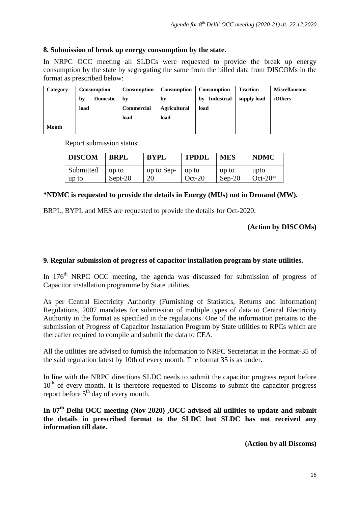#### **8. Submission of break up energy consumption by the state.**

In NRPC OCC meeting all SLDCs were requested to provide the break up energy consumption by the state by segregating the same from the billed data from DISCOMs in the format as prescribed below:

| Category     | Consumption           | Consumption       | Consumption         | Consumption             | <b>Traction</b> | <b>Miscellaneous</b> |
|--------------|-----------------------|-------------------|---------------------|-------------------------|-----------------|----------------------|
|              | <b>Domestic</b><br>by | by                | by                  | <b>Industrial</b><br>bv | supply load     | /Others              |
|              | load                  | <b>Commercial</b> | <b>Agricultural</b> | load                    |                 |                      |
|              |                       | load              | load                |                         |                 |                      |
| <b>Month</b> |                       |                   |                     |                         |                 |                      |

Report submission status:

| <b>DISCOM</b> | <b>BRPL</b> | <b>BYPL</b> | <b>TPDDL</b> | <b>MES</b> | <b>NDMC</b> |
|---------------|-------------|-------------|--------------|------------|-------------|
| Submitted     | up to       | up to Sep-  | up to        | up to      | upto        |
| up to         | Sept-20     | 20          | $Oct-20$     | $Sep-20$   | $Oct-20*$   |

#### **\*NDMC is requested to provide the details in Energy (MUs) not in Demand (MW).**

BRPL, BYPL and MES are requested to provide the details for Oct-2020.

**(Action by DISCOMs)**

#### **9. Regular submission of progress of capacitor installation program by state utilities.**

In 176<sup>th</sup> NRPC OCC meeting, the agenda was discussed for submission of progress of Capacitor installation programme by State utilities.

As per Central Electricity Authority (Furnishing of Statistics, Returns and Information) Regulations, 2007 mandates for submission of multiple types of data to Central Electricity Authority in the format as specified in the regulations. One of the information pertains to the submission of Progress of Capacitor Installation Program by State utilities to RPCs which are thereafter required to compile and submit the data to CEA.

All the utilities are advised to furnish the information to NRPC Secretariat in the Format-35 of the said regulation latest by 10th of every month. The format 35 is as under.

In line with the NRPC directions SLDC needs to submit the capacitor progress report before  $10<sup>th</sup>$  of every month. It is therefore requested to Discoms to submit the capacitor progress report before  $5<sup>th</sup>$  day of every month.

In 07<sup>th</sup> Delhi OCC meeting (Nov-2020) , OCC advised all utilities to update and submit **the details in prescribed format to the SLDC but SLDC has not received any information till date.**

**(Action by all Discoms)**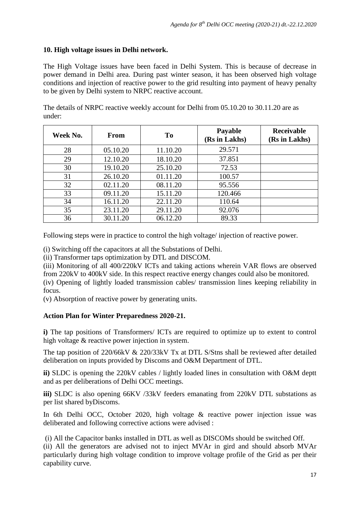## **10. High voltage issues in Delhi network.**

The High Voltage issues have been faced in Delhi System. This is because of decrease in power demand in Delhi area. During past winter season, it has been observed high voltage conditions and injection of reactive power to the grid resulting into payment of heavy penalty to be given by Delhi system to NRPC reactive account.

The details of NRPC reactive weekly account for Delhi from 05.10.20 to 30.11.20 are as under:

| Week No. | From     | To       | Payable<br>(Rs in Lakhs) | <b>Receivable</b><br>(Rs in Lakhs) |
|----------|----------|----------|--------------------------|------------------------------------|
| 28       | 05.10.20 | 11.10.20 | 29.571                   |                                    |
| 29       | 12.10.20 | 18.10.20 | 37.851                   |                                    |
| 30       | 19.10.20 | 25.10.20 | 72.53                    |                                    |
| 31       | 26.10.20 | 01.11.20 | 100.57                   |                                    |
| 32       | 02.11.20 | 08.11.20 | 95.556                   |                                    |
| 33       | 09.11.20 | 15.11.20 | 120.466                  |                                    |
| 34       | 16.11.20 | 22.11.20 | 110.64                   |                                    |
| 35       | 23.11.20 | 29.11.20 | 92.076                   |                                    |
| 36       | 30.11.20 | 06.12.20 | 89.33                    |                                    |

Following steps were in practice to control the high voltage/ injection of reactive power.

(i) Switching off the capacitors at all the Substations of Delhi.

(ii) Transformer taps optimization by DTL and DISCOM.

(iii) Monitoring of all 400/220kV ICTs and taking actions wherein VAR flows are observed from 220kV to 400kV side. In this respect reactive energy changes could also be monitored. (iv) Opening of lightly loaded transmission cables/ transmission lines keeping reliability in

focus.

(v) Absorption of reactive power by generating units.

## **Action Plan for Winter Preparedness 2020-21.**

**i)** The tap positions of Transformers/ ICTs are required to optimize up to extent to control high voltage & reactive power injection in system.

The tap position of 220/66kV & 220/33kV Tx at DTL S/Stns shall be reviewed after detailed deliberation on inputs provided by Discoms and O&M Department of DTL.

**ii)** SLDC is opening the 220kV cables / lightly loaded lines in consultation with O&M deptt and as per deliberations of Delhi OCC meetings.

**iii)** SLDC is also opening 66KV /33kV feeders emanating from 220kV DTL substations as per list shared byDiscoms.

In 6th Delhi OCC, October 2020, high voltage & reactive power injection issue was deliberated and following corrective actions were advised :

(i) All the Capacitor banks installed in DTL as well as DISCOMs should be switched Off.

(ii) All the generators are advised not to inject MVAr in gird and should absorb MVAr particularly during high voltage condition to improve voltage profile of the Grid as per their capability curve.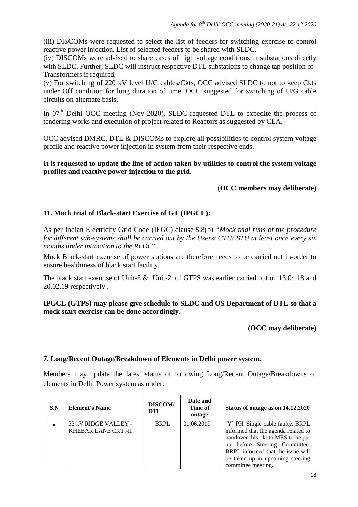(iii) DISCOMs were requested to select the list of feeders for switching exercise to control reactive power injection. List of selected feeders to be shared with SLDC.

(iv) DISCOMs were advised to share cases of high voltage conditions in substations directly with SLDC. Further, SLDC will instruct respective DTL substations to change tap position of Transformers if required.

(v) For switching of 220 kV level U/G cables/Ckts, OCC advised SLDC to not to keep Ckts under Off condition for long duration of time. OCC suggested for switching of U/G cable circuits on alternate basis.

In 07<sup>th</sup> Delhi OCC meeting (Nov-2020), SLDC requested DTL to expedite the process of tendering works and execution of project related to Reactors as suggested by CEA.

OCC advised DMRC, DTL & DISCOMs to explore all possibilities to control system voltage profile and reactive power injection in system from their respective ends.

**It is requested to update the line of action taken by utilities to control the system voltage profiles and reactive power injection to the grid.**

## **(OCC members may deliberate)**

## **11. Mock trial of Black-start Exercise of GT (IPGCL):**

As per Indian Electricity Grid Code (IEGC) clause 5.8(b) *"Mock trial runs of the procedure for different sub-systems shall be carried out by the Users/ CTU/ STU at least once every six months under intimation to the RLDC".*

Mock Black-start exercise of power stations are therefore needs to be carried out in-order to ensure healthiness of black start facility.

The black start exercise of Unit-3 & Unit-2 of GTPS was earlier carried out on 13.04.18 and 20.02.19 respectively .

**IPGCL (GTPS) may please give schedule to SLDC and OS Department of DTL so that a mock start exercise can be done accordingly.**

**(OCC may deliberate)**

#### **7. Long/Recent Outage/Breakdown of Elements in Delhi power system.**

Members may update the latest status of following Long/Recent Outage/Breakdowns of elements in Delhi Power system as under:

| S.N | <b>Element's Name</b>                              | <b>DISCOM/</b><br><b>DTL</b> | Date and<br>Time of<br>outage | Status of outage as on 14.12.2020                                                                                                                                                                                                              |
|-----|----------------------------------------------------|------------------------------|-------------------------------|------------------------------------------------------------------------------------------------------------------------------------------------------------------------------------------------------------------------------------------------|
|     | 33 kV RIDGE VALLEY -<br><b>KHEBAR LANE CKT.-II</b> | <b>BRPL</b>                  | 01.06.2019                    | 'Y' PH. Single cable faulty. BRPL<br>informed that the agenda related to<br>handover this ckt to MES to be put<br>up before Steering Committee.<br>BRPL informed that the issue will<br>be taken up in upcoming steering<br>committee meeting. |